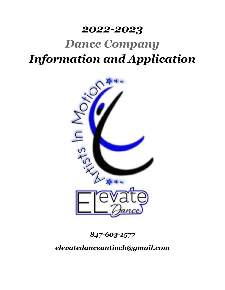## *2022-2023*

# *Dance Company Information and Application*



*847-603-1577*

*elevatedanceantioch@gmail.com*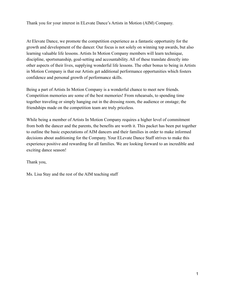Thank you for your interest in ELevate Dance's Artists in Motion (AIM) Company.

At Elevate Dance, we promote the competition experience as a fantastic opportunity for the growth and development of the dancer. Our focus is not solely on winning top awards, but also learning valuable life lessons. Artists In Motion Company members will learn technique, discipline, sportsmanship, goal-setting and accountability. All of these translate directly into other aspects of their lives, supplying wonderful life lessons. The other bonus to being in Artists in Motion Company is that our Artists get additional performance opportunities which fosters confidence and personal growth of performance skills.

Being a part of Artists In Motion Company is a wonderful chance to meet new friends. Competition memories are some of the best memories! From rehearsals, to spending time together traveling or simply hanging out in the dressing room, the audience or onstage; the friendships made on the competition team are truly priceless.

While being a member of Artists In Motion Company requires a higher level of commitment from both the dancer and the parents, the benefits are worth it. This packet has been put together to outline the basic expectations of AIM dancers and their families in order to make informed decisions about auditioning for the Company. Your ELevate Dance Staff strives to make this experience positive and rewarding for all families. We are looking forward to an incredible and exciting dance season!

Thank you,

Ms. Lisa Stay and the rest of the AIM teaching staff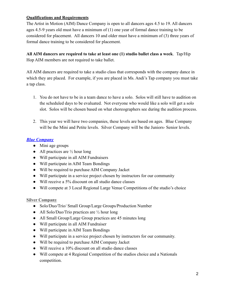#### **Qualifications and Requirements**

The Artist in Motion (AIM) Dance Company is open to all dancers ages 4.5 to 19. All dancers ages 4.5-9 years old must have a minimum of (1) one year of formal dance training to be considered for placement. All dancers 10 and older must have a minimum of (3) three years of formal dance training to be considered for placement.

**All AIM dancers are required to take at least one (1) studio ballet class a week**. Tap/Hip Hop AIM members are not required to take ballet.

All AIM dancers are required to take a studio class that corresponds with the company dance in which they are placed. For example, if you are placed in Ms. Andi's Tap company you must take a tap class.

- 1. You do not have to be in a team dance to have a solo. Solos will still have to audition on the scheduled days to be evaluated. Not everyone who would like a solo will get a solo slot. Solos will be chosen based on what choreographers see during the audition process.
- 2. This year we will have two companies, these levels are based on ages. Blue Company will be the Mini and Petite levels. Silver Company will be the Juniors- Senior levels.

#### *Blue Company*

- Mini age groups
- All practices are  $\frac{1}{2}$  hour long
- Will participate in all AIM Fundraisers
- Will participate in AIM Team Bondings
- Will be required to purchase AIM Company Jacket
- Will participate in a service project chosen by instructors for our community
- Will receive a 5% discount on all studio dance classes
- Will compete at 3 Local Regional Large Venue Competitions of the studio's choice

#### **Silver Company**

- Solo/Duo/Trio/ Small Group/Large Groups/Production Number
- All Solo/Duo/Trio practices are  $\frac{1}{2}$  hour long
- All Small Group/Large Group practices are 45 minutes long
- Will participate in all AIM Fundraiser
- Will participate in AIM Team Bondings
- Will participate in a service project chosen by instructors for our community.
- Will be required to purchase AIM Company Jacket
- Will receive a 10% discount on all studio dance classes
- Will compete at 4 Regional Competition of the studios choice and a Nationals competition.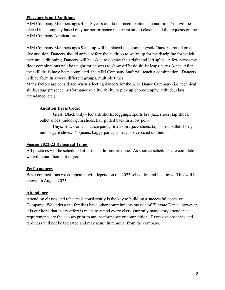#### **Placements and Auditions**

AIM Company Members ages 4.5 - 8 years old do not need to attend an audition. You will be placed in a company based on your performance in current studio classes and the requests on the AIM Company Applications.

AIM Company Members ages 9 and up will be placed in a company/solo/duet/trio based on a live audition. Dancers should arrive before the audition to warm up for the discipline for which they are auditioning. Dancers will be asked to display their right and left splits. A few across the floor combinations will be taught for dancers to show off basic skills: leaps, turns, kicks. After the skill drills have been completed, the AIM Company Staff will teach a combination. Dancers will perform in several different groups, multiple times.

Many factors are considered when selecting dancers for the AIM Dance Company (i.e. technical skills, stage presence, performance quality, ability to pick up choreography, attitude, class attendance, etc.)

#### **Audition Dress Code:**

Girls: Black only - leotard, shorts, leggings, sports bra, jazz shoes, tap shoes, ballet shoes, indoor gym shoes, hair pulled back in a low pony.

**Boys:** Black only **-** dance pants, fitted shirt, jazz shoes, tap shoes, ballet shoes, indoor gym shoes. No jeans, baggy pants, tshirts, or oversized clothes.

#### **Season 2022-23 Rehearsal Times**

All practices will be scheduled after the auditions are done. As soon as schedules are complete we will email them out to you.

#### **Performances**

What competitions we compete in will depend on the 2023 schedules and locations. This will be known in August 2023.

#### **Attendance**

Attending classes and rehearsals consistently is the key to building a successful cohesive Company. We understand families have other commitments outside of ELevate Dance, however, it is our hope that every effort is made to attend every class. Our only mandatory attendance requirements are the classes prior to any performance or competition. Excessive absences and tardiness will not be tolerated and may result in removal from the company.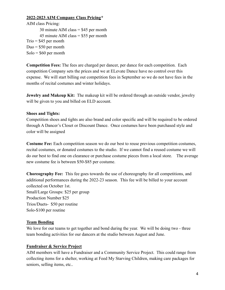#### **2022-2023 AIM Company Class Pricing\***

AIM class Pricing: 30 minute AIM class = \$45 per month 45 minute AIM class  $=$  \$55 per month  $Trio = $45$  per month  $Due = $50$  per month  $Solo = $60$  per month

**Competition Fees:** The fees are charged per dancer, per dance for each competition. Each competition Company sets the prices and we at ELevate Dance have no control over this expense. We will start billing out competition fees in September so we do not have fees in the months of recital costumes and winter holidays.

**Jewelry and Makeup Kit:** The makeup kit will be ordered through an outside vendor, jewelry will be given to you and billed on ELD account.

#### **Shoes and Tights:**

Competition shoes and tights are also brand and color specific and will be required to be ordered through A Dancer's Closet or Discount Dance. Once costumes have been purchased style and color will be assigned

**Costume Fee:** Each competition season we do our best to reuse previous competition costumes, recital costumes, or donated costumes to the studio. If we cannot find a reused costume we will do our best to find one on clearance or purchase costume pieces from a local store. The average new costume fee is between \$50-\$85 per costume.

**Choreography Fee:** This fee goes towards the use of choreography for all competitions, and additional performances during the 2022-23 season. This fee will be billed to your account collected on October 1st. Small/Large Groups: \$25 per group Production Number \$25 Trios/Duets- \$50 per routine Solo-\$100 per routine

#### **Team Bonding**

We love for our teams to get together and bond during the year. We will be doing two - three team bonding activities for our dancers at the studio between August and June.

#### **Fundraiser & Service Project**

AIM members will have a Fundraiser and a Community Service Project. This could range from collecting items for a shelter, working at Feed My Starving Children, making care packages for seniors, selling items, etc..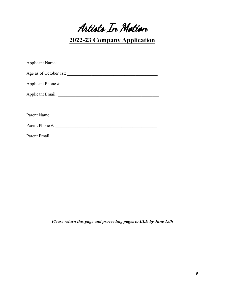Artists In Motion

**2022-23 Company Application**

| Parent Name:                    |  |
|---------------------------------|--|
| Parent Phone #:                 |  |
| Parent Email: <u>Department</u> |  |

*Please return this page and proceeding pages to ELD by June 15th*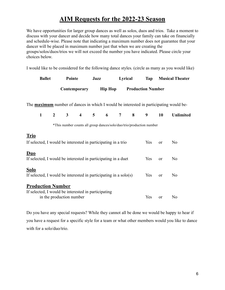### **AIM Requests for the 2022-23 Season**

We have opportunities for larger group dances as well as solos, duos and trios. Take a moment to discuss with your dancer and decide how many total dances your family can take on financially and schedule-wise. Please note that indicating a maximum number does not guarantee that your dancer will be placed in maximum number just that when we are creating the groups/solos/duos/trios we will not exceed the number you have indicated. Please circle your choices below.

I would like to be considered for the following dance styles. (circle as many as you would like)

| <b>Ballet</b> | Pointe       | Jazz           | Lyrical | Tan                      | <b>Musical Theater</b> |
|---------------|--------------|----------------|---------|--------------------------|------------------------|
|               | Contemporary | <b>Hip Hop</b> |         | <b>Production Number</b> |                        |

The **maximum** number of dances in which I would be interested in participating would be-

|  |  |  |  |  | 1 2 3 4 5 6 7 8 9 10 Unlimited |
|--|--|--|--|--|--------------------------------|
|  |  |  |  |  |                                |

\*This number counts all group dances/solo/duo/trio/production number

#### **Trio**

| If selected, I would be interested in participating in a trio                                               | <b>Yes</b> | $\alpha$ | N <sub>0</sub> |
|-------------------------------------------------------------------------------------------------------------|------------|----------|----------------|
| Duo<br>If selected, I would be interested in participating in a duet                                        | Yes        | $\alpha$ | N <sub>0</sub> |
| <b>Solo</b><br>If selected, I would be interested in participating in a $\text{solo}(s)$                    | <b>Yes</b> | $\alpha$ | N <sub>0</sub> |
| <b>Production Number</b><br>If selected, I would be interested in participating<br>in the production number | Yes        | or       | No             |

Do you have any special requests? While they cannot all be done we would be happy to hear if you have a request for a specific style for a team or what other members would you like to dance with for a solo/duo/trio.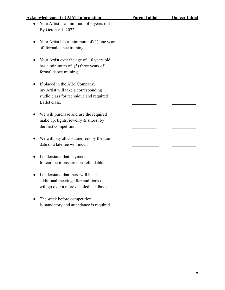| <b>Acknowledgement of AIM Information</b>   | <b>Parent Initial</b> | <b>Dancer Initial</b> |
|---------------------------------------------|-----------------------|-----------------------|
| Your Artist is a minimum of 5 years old     |                       |                       |
| By October 1, 2022.                         |                       |                       |
| Your Artist has a minimum of $(1)$ one year |                       |                       |
| of formal dance training.                   |                       |                       |
| Your Artist over the age of 10 years old    |                       |                       |
| has a minimum of $(3)$ three years of       |                       |                       |
| formal dance training.                      |                       |                       |
| If placed in the AIM Company,               |                       |                       |
| my Artist will take a corresponding         |                       |                       |
| studio class for technique and required     |                       |                       |
| Ballet class.                               |                       |                       |
|                                             |                       |                       |
| We will purchase and use the required       |                       |                       |
| make up, tights, jewelry $\&$ shoes, by     |                       |                       |
| the first competition                       |                       |                       |
|                                             |                       |                       |
| We will pay all costume fees by the due     |                       |                       |
| date or a late fee will incur.              |                       |                       |
|                                             |                       |                       |
| I understand that payments                  |                       |                       |
| for competitions are non-refundable.        |                       |                       |
|                                             |                       |                       |
| I understand that there will be an          |                       |                       |
| additional meeting after auditions that     |                       |                       |
| will go over a more detailed handbook.      |                       |                       |
| The week before competition                 |                       |                       |
| is mandatory and attendance is required.    |                       |                       |
|                                             |                       |                       |